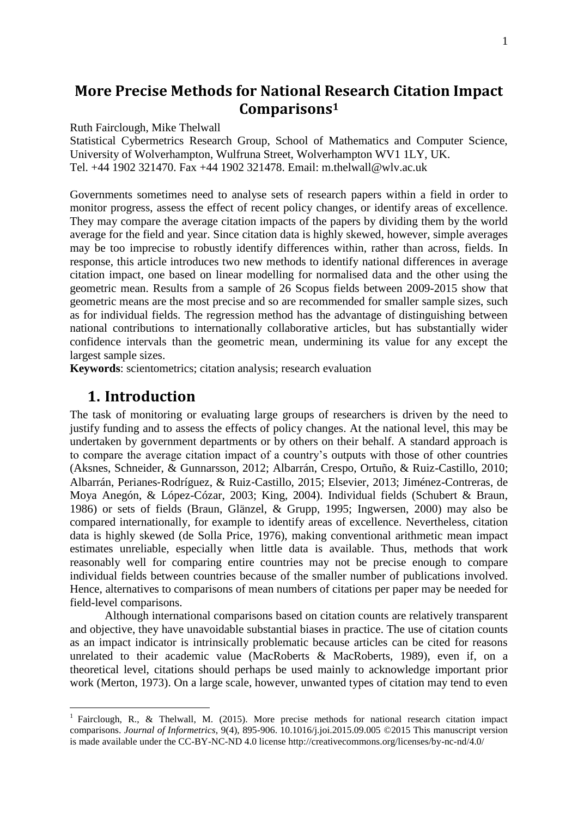# **More Precise Methods for National Research Citation Impact Comparisons<sup>1</sup>**

Ruth Fairclough, Mike Thelwall

Statistical Cybermetrics Research Group, School of Mathematics and Computer Science, University of Wolverhampton, Wulfruna Street, Wolverhampton WV1 1LY, UK. Tel. +44 1902 321470. Fax +44 1902 321478. Email: m.thelwall@wlv.ac.uk

Governments sometimes need to analyse sets of research papers within a field in order to monitor progress, assess the effect of recent policy changes, or identify areas of excellence. They may compare the average citation impacts of the papers by dividing them by the world average for the field and year. Since citation data is highly skewed, however, simple averages may be too imprecise to robustly identify differences within, rather than across, fields. In response, this article introduces two new methods to identify national differences in average citation impact, one based on linear modelling for normalised data and the other using the geometric mean. Results from a sample of 26 Scopus fields between 2009-2015 show that geometric means are the most precise and so are recommended for smaller sample sizes, such as for individual fields. The regression method has the advantage of distinguishing between national contributions to internationally collaborative articles, but has substantially wider confidence intervals than the geometric mean, undermining its value for any except the largest sample sizes.

**Keywords**: scientometrics; citation analysis; research evaluation

## **1. Introduction**

<u>.</u>

The task of monitoring or evaluating large groups of researchers is driven by the need to justify funding and to assess the effects of policy changes. At the national level, this may be undertaken by government departments or by others on their behalf. A standard approach is to compare the average citation impact of a country's outputs with those of other countries (Aksnes, Schneider, & Gunnarsson, 2012; Albarrán, Crespo, Ortuño, & Ruiz-Castillo, 2010; Albarrán, Perianes‐Rodríguez, & Ruiz‐Castillo, 2015; Elsevier, 2013; Jiménez-Contreras, de Moya Anegón, & López-Cózar, 2003; King, 2004). Individual fields (Schubert & Braun, 1986) or sets of fields (Braun, Glänzel, & Grupp, 1995; Ingwersen, 2000) may also be compared internationally, for example to identify areas of excellence. Nevertheless, citation data is highly skewed (de Solla Price, 1976), making conventional arithmetic mean impact estimates unreliable, especially when little data is available. Thus, methods that work reasonably well for comparing entire countries may not be precise enough to compare individual fields between countries because of the smaller number of publications involved. Hence, alternatives to comparisons of mean numbers of citations per paper may be needed for field-level comparisons.

Although international comparisons based on citation counts are relatively transparent and objective, they have unavoidable substantial biases in practice. The use of citation counts as an impact indicator is intrinsically problematic because articles can be cited for reasons unrelated to their academic value (MacRoberts & MacRoberts, 1989), even if, on a theoretical level, citations should perhaps be used mainly to acknowledge important prior work (Merton, 1973). On a large scale, however, unwanted types of citation may tend to even

<sup>&</sup>lt;sup>1</sup> Fairclough, R., & Thelwall, M. (2015). More precise methods for national research citation impact comparisons. *Journal of Informetrics*, 9(4), 895-906. 10.1016/j.joi.2015.09.005 ©2015 This manuscript version is made available under the CC-BY-NC-ND 4.0 license http://creativecommons.org/licenses/by-nc-nd/4.0/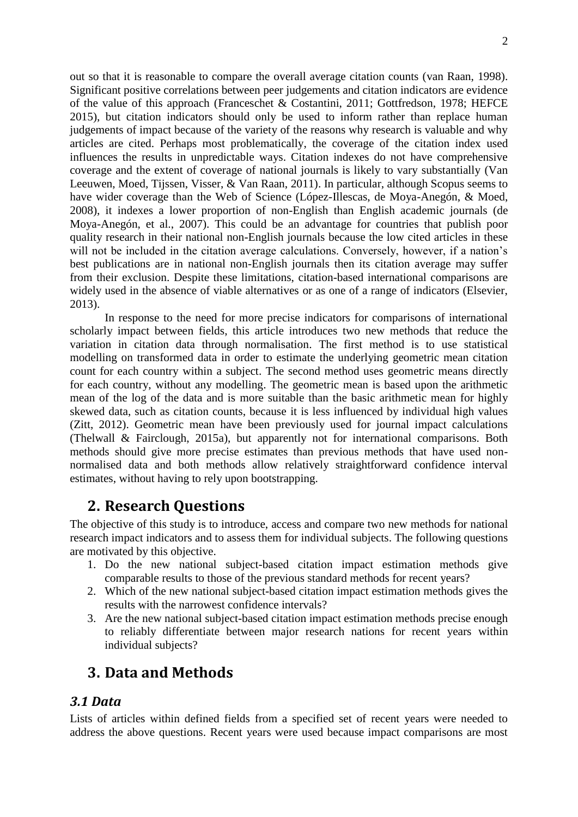out so that it is reasonable to compare the overall average citation counts (van Raan, 1998). Significant positive correlations between peer judgements and citation indicators are evidence of the value of this approach (Franceschet & Costantini, 2011; Gottfredson, 1978; HEFCE 2015), but citation indicators should only be used to inform rather than replace human judgements of impact because of the variety of the reasons why research is valuable and why articles are cited. Perhaps most problematically, the coverage of the citation index used influences the results in unpredictable ways. Citation indexes do not have comprehensive coverage and the extent of coverage of national journals is likely to vary substantially (Van Leeuwen, Moed, Tijssen, Visser, & Van Raan, 2011). In particular, although Scopus seems to have wider coverage than the Web of Science (López-Illescas, de Moya-Anegón, & Moed, 2008), it indexes a lower proportion of non-English than English academic journals (de Moya-Anegón, et al., 2007). This could be an advantage for countries that publish poor quality research in their national non-English journals because the low cited articles in these will not be included in the citation average calculations. Conversely, however, if a nation's best publications are in national non-English journals then its citation average may suffer from their exclusion. Despite these limitations, citation-based international comparisons are widely used in the absence of viable alternatives or as one of a range of indicators (Elsevier, 2013).

In response to the need for more precise indicators for comparisons of international scholarly impact between fields, this article introduces two new methods that reduce the variation in citation data through normalisation. The first method is to use statistical modelling on transformed data in order to estimate the underlying geometric mean citation count for each country within a subject. The second method uses geometric means directly for each country, without any modelling. The geometric mean is based upon the arithmetic mean of the log of the data and is more suitable than the basic arithmetic mean for highly skewed data, such as citation counts, because it is less influenced by individual high values (Zitt, 2012). Geometric mean have been previously used for journal impact calculations (Thelwall & Fairclough, 2015a), but apparently not for international comparisons. Both methods should give more precise estimates than previous methods that have used nonnormalised data and both methods allow relatively straightforward confidence interval estimates, without having to rely upon bootstrapping.

# **2. Research Questions**

The objective of this study is to introduce, access and compare two new methods for national research impact indicators and to assess them for individual subjects. The following questions are motivated by this objective.

- 1. Do the new national subject-based citation impact estimation methods give comparable results to those of the previous standard methods for recent years?
- 2. Which of the new national subject-based citation impact estimation methods gives the results with the narrowest confidence intervals?
- 3. Are the new national subject-based citation impact estimation methods precise enough to reliably differentiate between major research nations for recent years within individual subjects?

# **3. Data and Methods**

## *3.1 Data*

Lists of articles within defined fields from a specified set of recent years were needed to address the above questions. Recent years were used because impact comparisons are most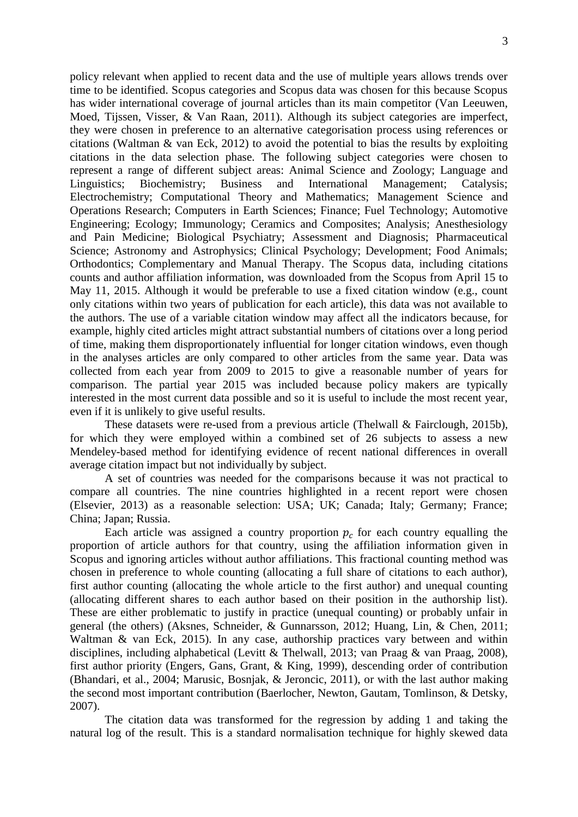policy relevant when applied to recent data and the use of multiple years allows trends over time to be identified. Scopus categories and Scopus data was chosen for this because Scopus has wider international coverage of journal articles than its main competitor (Van Leeuwen, Moed, Tijssen, Visser, & Van Raan, 2011). Although its subject categories are imperfect, they were chosen in preference to an alternative categorisation process using references or citations (Waltman & van Eck, 2012) to avoid the potential to bias the results by exploiting citations in the data selection phase. The following subject categories were chosen to represent a range of different subject areas: Animal Science and Zoology; Language and Linguistics; Biochemistry; Business and International Management; Catalysis; Electrochemistry; Computational Theory and Mathematics; Management Science and Operations Research; Computers in Earth Sciences; Finance; Fuel Technology; Automotive Engineering; Ecology; Immunology; Ceramics and Composites; Analysis; Anesthesiology and Pain Medicine; Biological Psychiatry; Assessment and Diagnosis; Pharmaceutical Science; Astronomy and Astrophysics; Clinical Psychology; Development; Food Animals; Orthodontics; Complementary and Manual Therapy. The Scopus data, including citations counts and author affiliation information, was downloaded from the Scopus from April 15 to May 11, 2015. Although it would be preferable to use a fixed citation window (e.g., count only citations within two years of publication for each article), this data was not available to the authors. The use of a variable citation window may affect all the indicators because, for example, highly cited articles might attract substantial numbers of citations over a long period of time, making them disproportionately influential for longer citation windows, even though in the analyses articles are only compared to other articles from the same year. Data was collected from each year from 2009 to 2015 to give a reasonable number of years for comparison. The partial year 2015 was included because policy makers are typically interested in the most current data possible and so it is useful to include the most recent year, even if it is unlikely to give useful results.

These datasets were re-used from a previous article (Thelwall & Fairclough, 2015b), for which they were employed within a combined set of 26 subjects to assess a new Mendeley-based method for identifying evidence of recent national differences in overall average citation impact but not individually by subject.

A set of countries was needed for the comparisons because it was not practical to compare all countries. The nine countries highlighted in a recent report were chosen (Elsevier, 2013) as a reasonable selection: USA; UK; Canada; Italy; Germany; France; China; Japan; Russia.

Each article was assigned a country proportion  $p_c$  for each country equalling the proportion of article authors for that country, using the affiliation information given in Scopus and ignoring articles without author affiliations. This fractional counting method was chosen in preference to whole counting (allocating a full share of citations to each author), first author counting (allocating the whole article to the first author) and unequal counting (allocating different shares to each author based on their position in the authorship list). These are either problematic to justify in practice (unequal counting) or probably unfair in general (the others) (Aksnes, Schneider, & Gunnarsson, 2012; Huang, Lin, & Chen, 2011; Waltman & van Eck, 2015). In any case, authorship practices vary between and within disciplines, including alphabetical (Levitt & Thelwall, 2013; van Praag & van Praag, 2008), first author priority (Engers, Gans, Grant, & King, 1999), descending order of contribution (Bhandari, et al., 2004; Marusic, Bosnjak, & Jeroncic, 2011), or with the last author making the second most important contribution (Baerlocher, Newton, Gautam, Tomlinson, & Detsky, 2007).

The citation data was transformed for the regression by adding 1 and taking the natural log of the result. This is a standard normalisation technique for highly skewed data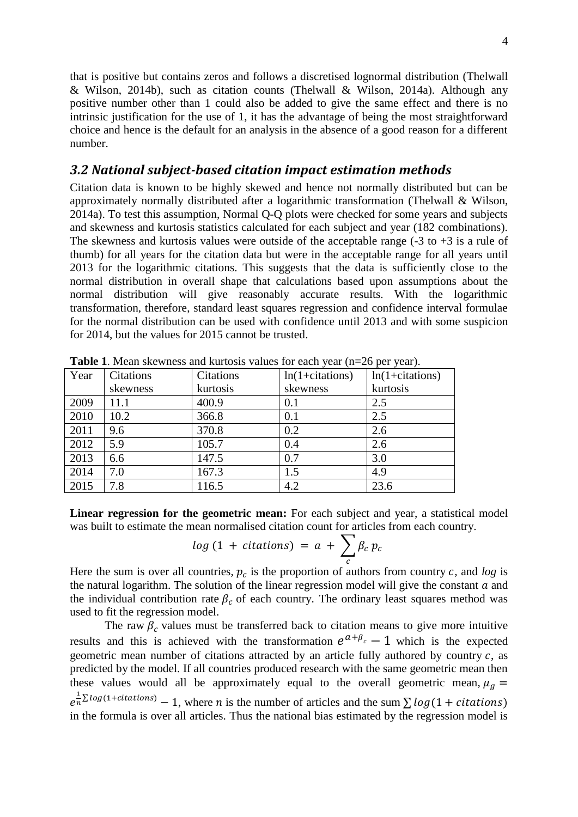that is positive but contains zeros and follows a discretised lognormal distribution (Thelwall & Wilson, 2014b), such as citation counts (Thelwall & Wilson, 2014a). Although any positive number other than 1 could also be added to give the same effect and there is no intrinsic justification for the use of 1, it has the advantage of being the most straightforward choice and hence is the default for an analysis in the absence of a good reason for a different number.

### *3.2 National subject-based citation impact estimation methods*

Citation data is known to be highly skewed and hence not normally distributed but can be approximately normally distributed after a logarithmic transformation (Thelwall & Wilson, 2014a). To test this assumption, Normal Q-Q plots were checked for some years and subjects and skewness and kurtosis statistics calculated for each subject and year (182 combinations). The skewness and kurtosis values were outside of the acceptable range  $(-3 \text{ to } +3 \text{ is a rule of})$ thumb) for all years for the citation data but were in the acceptable range for all years until 2013 for the logarithmic citations. This suggests that the data is sufficiently close to the normal distribution in overall shape that calculations based upon assumptions about the normal distribution will give reasonably accurate results. With the logarithmic transformation, therefore, standard least squares regression and confidence interval formulae for the normal distribution can be used with confidence until 2013 and with some suspicion for 2014, but the values for 2015 cannot be trusted.

| Year | Citations | Citations | $ln(1+citations)$ | $ln(1+citations)$ |
|------|-----------|-----------|-------------------|-------------------|
|      | skewness  | kurtosis  | skewness          | kurtosis          |
| 2009 | 11.1      | 400.9     | 0.1               | 2.5               |
| 2010 | 10.2      | 366.8     | 0.1               | 2.5               |
| 2011 | 9.6       | 370.8     | 0.2               | 2.6               |
| 2012 | 5.9       | 105.7     | 0.4               | 2.6               |
| 2013 | 6.6       | 147.5     | 0.7               | 3.0               |
| 2014 | 7.0       | 167.3     | 1.5               | 4.9               |
| 2015 | 7.8       | 116.5     | 4.2               | 23.6              |

**Table 1**. Mean skewness and kurtosis values for each year (n=26 per year).

**Linear regression for the geometric mean:** For each subject and year, a statistical model was built to estimate the mean normalised citation count for articles from each country.

$$
log (1 + citations) = a + \sum_{c} \beta_{c} p_{c}
$$

Here the sum is over all countries,  $p_c$  is the proportion of authors from country  $c$ , and  $\log$  is the natural logarithm. The solution of the linear regression model will give the constant  $\alpha$  and the individual contribution rate  $\beta_c$  of each country. The ordinary least squares method was used to fit the regression model.

The raw  $\beta_c$  values must be transferred back to citation means to give more intuitive results and this is achieved with the transformation  $e^{a+\beta_c}-1$  which is the expected geometric mean number of citations attracted by an article fully authored by country  $c$ , as predicted by the model. If all countries produced research with the same geometric mean then these values would all be approximately equal to the overall geometric mean,  $\mu_a$  =  $e^{\frac{1}{n}}$  $\frac{1}{n} \Sigma log(1 + citations) - 1$ , where *n* is the number of articles and the sum  $\sum log(1 + citations)$ in the formula is over all articles. Thus the national bias estimated by the regression model is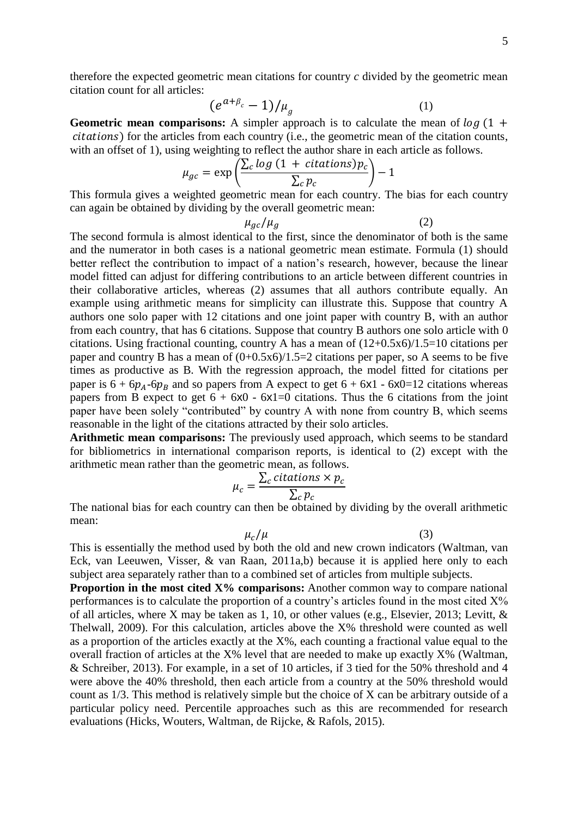therefore the expected geometric mean citations for country *c* divided by the geometric mean citation count for all articles:

$$
(e^{a+\beta_c}-1)/\mu_g \tag{1}
$$

**Geometric mean comparisons:** A simpler approach is to calculate the mean of  $\log(1 +$ ) for the articles from each country (i.e., the geometric mean of the citation counts, with an offset of 1), using weighting to reflect the author share in each article as follows.

$$
\mu_{gc} = \exp\left(\frac{\sum_{c} log (1 + citations)p_c}{\sum_{c} p_c}\right) - 1
$$

This formula gives a weighted geometric mean for each country. The bias for each country can again be obtained by dividing by the overall geometric mean:

 $\mu_{gc}/\mu_q$  (2)

The second formula is almost identical to the first, since the denominator of both is the same and the numerator in both cases is a national geometric mean estimate. Formula (1) should better reflect the contribution to impact of a nation's research, however, because the linear model fitted can adjust for differing contributions to an article between different countries in their collaborative articles, whereas (2) assumes that all authors contribute equally. An example using arithmetic means for simplicity can illustrate this. Suppose that country A authors one solo paper with 12 citations and one joint paper with country B, with an author from each country, that has 6 citations. Suppose that country B authors one solo article with 0 citations. Using fractional counting, country A has a mean of (12+0.5x6)/1.5=10 citations per paper and country B has a mean of  $(0+0.5x6)/1.5=2$  citations per paper, so A seems to be five times as productive as B. With the regression approach, the model fitted for citations per paper is  $6 + 6p_4 - 6p_8$  and so papers from A expect to get  $6 + 6x1 - 6x0 = 12$  citations whereas papers from B expect to get  $6 + 6x0 - 6x1 = 0$  citations. Thus the 6 citations from the joint paper have been solely "contributed" by country A with none from country B, which seems reasonable in the light of the citations attracted by their solo articles.

**Arithmetic mean comparisons:** The previously used approach, which seems to be standard for bibliometrics in international comparison reports, is identical to (2) except with the arithmetic mean rather than the geometric mean, as follows.

$$
\mu_c = \frac{\sum_c citations \times p_c}{\sum_c p_c}
$$

The national bias for each country can then be obtained by dividing by the overall arithmetic mean:

 $\mu_c/\mu$  (3)

This is essentially the method used by both the old and new crown indicators (Waltman, van Eck, van Leeuwen, Visser, & van Raan, 2011a,b) because it is applied here only to each subject area separately rather than to a combined set of articles from multiple subjects.

**Proportion in the most cited X% comparisons:** Another common way to compare national performances is to calculate the proportion of a country's articles found in the most cited X% of all articles, where X may be taken as 1, 10, or other values (e.g., Elsevier, 2013; Levitt, & Thelwall, 2009). For this calculation, articles above the X% threshold were counted as well as a proportion of the articles exactly at the X%, each counting a fractional value equal to the overall fraction of articles at the X% level that are needed to make up exactly X% (Waltman, & Schreiber, 2013). For example, in a set of 10 articles, if 3 tied for the 50% threshold and 4 were above the 40% threshold, then each article from a country at the 50% threshold would count as 1/3. This method is relatively simple but the choice of X can be arbitrary outside of a particular policy need. Percentile approaches such as this are recommended for research evaluations (Hicks, Wouters, Waltman, de Rijcke, & Rafols, 2015).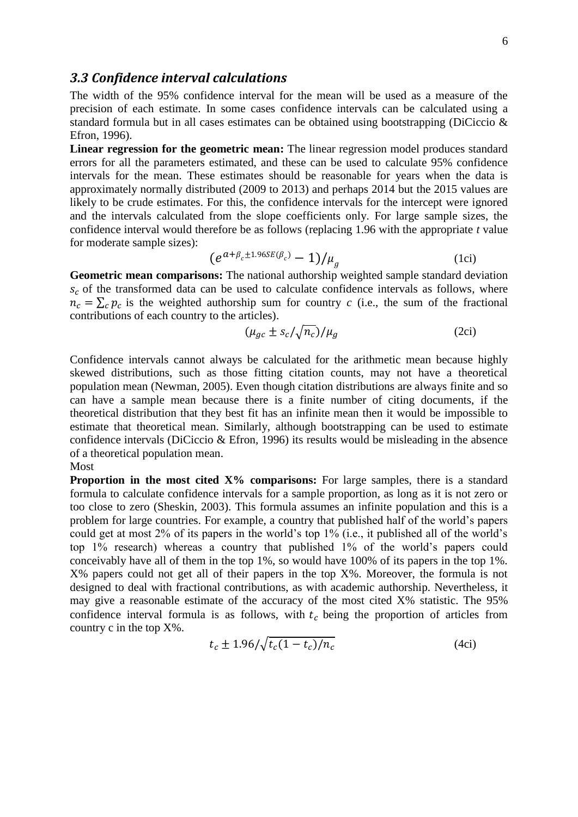#### *3.3 Confidence interval calculations*

The width of the 95% confidence interval for the mean will be used as a measure of the precision of each estimate. In some cases confidence intervals can be calculated using a standard formula but in all cases estimates can be obtained using bootstrapping (DiCiccio & Efron, 1996).

**Linear regression for the geometric mean:** The linear regression model produces standard errors for all the parameters estimated, and these can be used to calculate 95% confidence intervals for the mean. These estimates should be reasonable for years when the data is approximately normally distributed (2009 to 2013) and perhaps 2014 but the 2015 values are likely to be crude estimates. For this, the confidence intervals for the intercept were ignored and the intervals calculated from the slope coefficients only. For large sample sizes, the confidence interval would therefore be as follows (replacing 1.96 with the appropriate *t* value for moderate sample sizes):

$$
(e^{a+\beta_c \pm 1.96SE(\beta_c)} - 1)/\mu_g \tag{1c}
$$

**Geometric mean comparisons:** The national authorship weighted sample standard deviation  $s_c$  of the transformed data can be used to calculate confidence intervals as follows, where  $n_c = \sum_c p_c$  is the weighted authorship sum for country *c* (i.e., the sum of the fractional contributions of each country to the articles).

$$
(\mu_{gc} \pm s_c / \sqrt{n_c}) / \mu_g \tag{2ci}
$$

Confidence intervals cannot always be calculated for the arithmetic mean because highly skewed distributions, such as those fitting citation counts, may not have a theoretical population mean (Newman, 2005). Even though citation distributions are always finite and so can have a sample mean because there is a finite number of citing documents, if the theoretical distribution that they best fit has an infinite mean then it would be impossible to estimate that theoretical mean. Similarly, although bootstrapping can be used to estimate confidence intervals (DiCiccio & Efron, 1996) its results would be misleading in the absence of a theoretical population mean.

Most

**Proportion in the most cited X% comparisons:** For large samples, there is a standard formula to calculate confidence intervals for a sample proportion, as long as it is not zero or too close to zero (Sheskin, 2003). This formula assumes an infinite population and this is a problem for large countries. For example, a country that published half of the world's papers could get at most 2% of its papers in the world's top 1% (i.e., it published all of the world's top 1% research) whereas a country that published 1% of the world's papers could conceivably have all of them in the top 1%, so would have 100% of its papers in the top 1%. X% papers could not get all of their papers in the top X%. Moreover, the formula is not designed to deal with fractional contributions, as with academic authorship. Nevertheless, it may give a reasonable estimate of the accuracy of the most cited X% statistic. The 95% confidence interval formula is as follows, with  $t_c$  being the proportion of articles from country c in the top X%.

$$
t_c \pm 1.96/\sqrt{t_c(1 - t_c)/n_c}
$$
 (4ci)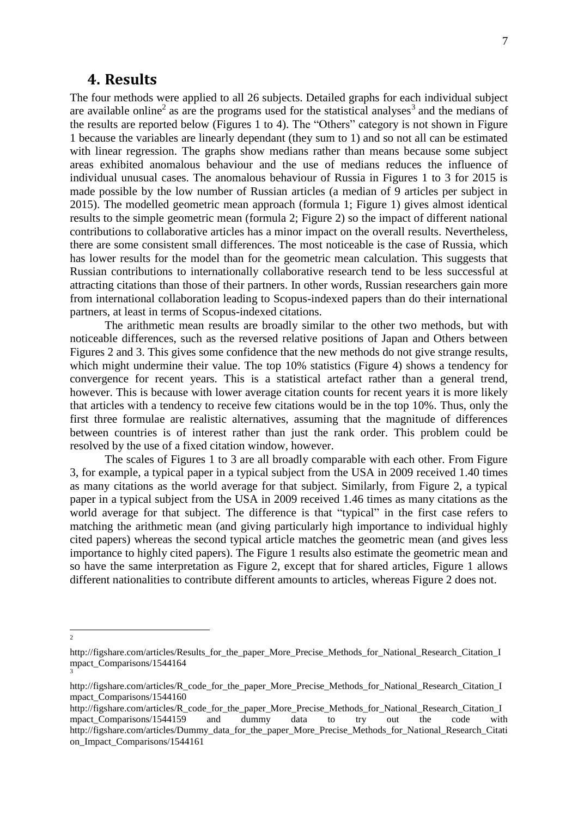### **4. Results**

The four methods were applied to all 26 subjects. Detailed graphs for each individual subject are available online<sup>2</sup> as are the programs used for the statistical analyses<sup>3</sup> and the medians of the results are reported below (Figures 1 to 4). The "Others" category is not shown in Figure 1 because the variables are linearly dependant (they sum to 1) and so not all can be estimated with linear regression. The graphs show medians rather than means because some subject areas exhibited anomalous behaviour and the use of medians reduces the influence of individual unusual cases. The anomalous behaviour of Russia in Figures 1 to 3 for 2015 is made possible by the low number of Russian articles (a median of 9 articles per subject in 2015). The modelled geometric mean approach (formula 1; Figure 1) gives almost identical results to the simple geometric mean (formula 2; Figure 2) so the impact of different national contributions to collaborative articles has a minor impact on the overall results. Nevertheless, there are some consistent small differences. The most noticeable is the case of Russia, which has lower results for the model than for the geometric mean calculation. This suggests that Russian contributions to internationally collaborative research tend to be less successful at attracting citations than those of their partners. In other words, Russian researchers gain more from international collaboration leading to Scopus-indexed papers than do their international partners, at least in terms of Scopus-indexed citations.

The arithmetic mean results are broadly similar to the other two methods, but with noticeable differences, such as the reversed relative positions of Japan and Others between Figures 2 and 3. This gives some confidence that the new methods do not give strange results, which might undermine their value. The top 10% statistics (Figure 4) shows a tendency for convergence for recent years. This is a statistical artefact rather than a general trend, however. This is because with lower average citation counts for recent years it is more likely that articles with a tendency to receive few citations would be in the top 10%. Thus, only the first three formulae are realistic alternatives, assuming that the magnitude of differences between countries is of interest rather than just the rank order. This problem could be resolved by the use of a fixed citation window, however.

The scales of Figures 1 to 3 are all broadly comparable with each other. From Figure 3, for example, a typical paper in a typical subject from the USA in 2009 received 1.40 times as many citations as the world average for that subject. Similarly, from Figure 2, a typical paper in a typical subject from the USA in 2009 received 1.46 times as many citations as the world average for that subject. The difference is that "typical" in the first case refers to matching the arithmetic mean (and giving particularly high importance to individual highly cited papers) whereas the second typical article matches the geometric mean (and gives less importance to highly cited papers). The Figure 1 results also estimate the geometric mean and so have the same interpretation as Figure 2, except that for shared articles, Figure 1 allows different nationalities to contribute different amounts to articles, whereas Figure 2 does not.

 $\frac{1}{2}$ 

http://figshare.com/articles/Results\_for\_the\_paper\_More\_Precise\_Methods\_for\_National\_Research\_Citation\_I mpact\_Comparisons/1544164 3

http://figshare.com/articles/R\_code\_for\_the\_paper\_More\_Precise\_Methods\_for\_National\_Research\_Citation\_I mpact\_Comparisons/1544160

http://figshare.com/articles/R\_code\_for\_the\_paper\_More\_Precise\_Methods\_for\_National\_Research\_Citation\_I mpact\_Comparisons/1544159 and dummy data to try out the code with http://figshare.com/articles/Dummy\_data\_for\_the\_paper\_More\_Precise\_Methods\_for\_National\_Research\_Citati on\_Impact\_Comparisons/1544161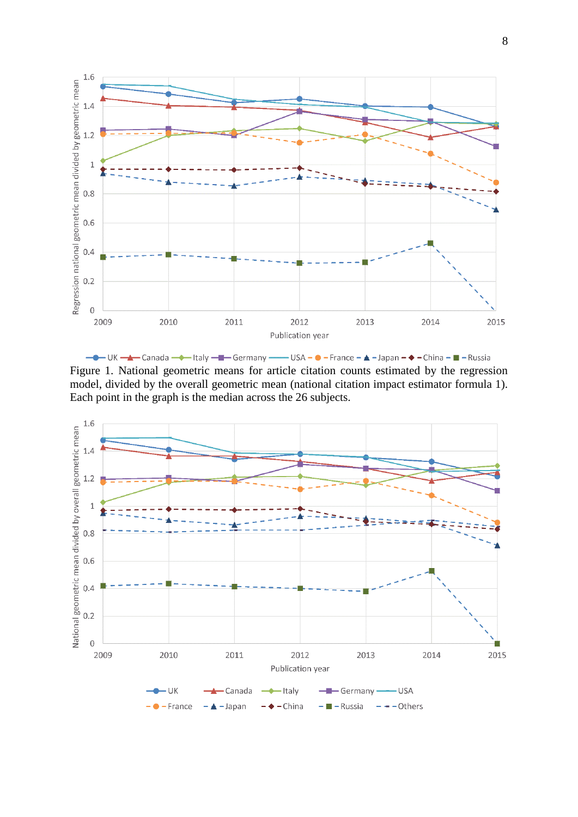

- It Hally - The Germany - USA - O - France - A - Japan - ◆ - China - ■ - Russia Figure 1. National geometric means for article citation counts estimated by the regression model, divided by the overall geometric mean (national citation impact estimator formula 1). Each point in the graph is the median across the 26 subjects.

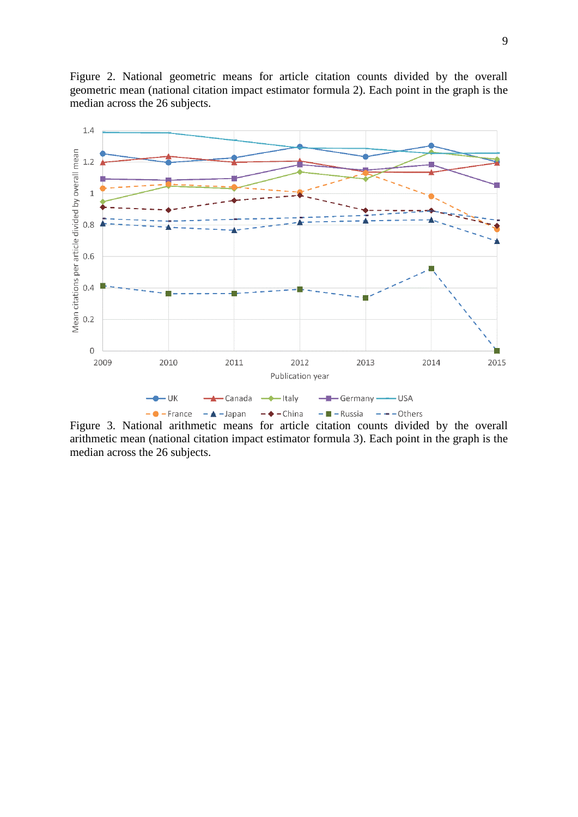Figure 2. National geometric means for article citation counts divided by the overall geometric mean (national citation impact estimator formula 2). Each point in the graph is the median across the 26 subjects.



Figure 3. National arithmetic means for article citation counts divided by the overall arithmetic mean (national citation impact estimator formula 3). Each point in the graph is the median across the 26 subjects.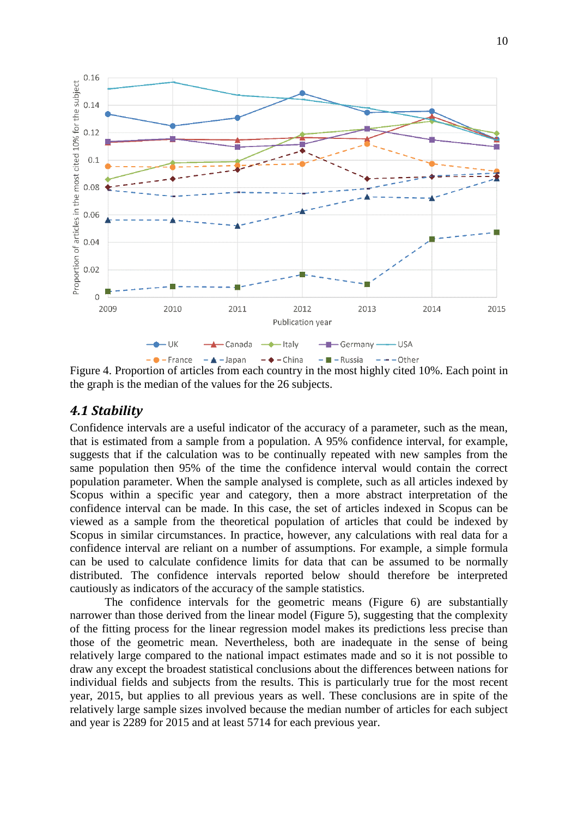

Figure 4. Proportion of articles from each country in the most highly cited 10%. Each point in the graph is the median of the values for the 26 subjects.

## *4.1 Stability*

Confidence intervals are a useful indicator of the accuracy of a parameter, such as the mean, that is estimated from a sample from a population. A 95% confidence interval, for example, suggests that if the calculation was to be continually repeated with new samples from the same population then 95% of the time the confidence interval would contain the correct population parameter. When the sample analysed is complete, such as all articles indexed by Scopus within a specific year and category, then a more abstract interpretation of the confidence interval can be made. In this case, the set of articles indexed in Scopus can be viewed as a sample from the theoretical population of articles that could be indexed by Scopus in similar circumstances. In practice, however, any calculations with real data for a confidence interval are reliant on a number of assumptions. For example, a simple formula can be used to calculate confidence limits for data that can be assumed to be normally distributed. The confidence intervals reported below should therefore be interpreted cautiously as indicators of the accuracy of the sample statistics.

The confidence intervals for the geometric means (Figure 6) are substantially narrower than those derived from the linear model (Figure 5), suggesting that the complexity of the fitting process for the linear regression model makes its predictions less precise than those of the geometric mean. Nevertheless, both are inadequate in the sense of being relatively large compared to the national impact estimates made and so it is not possible to draw any except the broadest statistical conclusions about the differences between nations for individual fields and subjects from the results. This is particularly true for the most recent year, 2015, but applies to all previous years as well. These conclusions are in spite of the relatively large sample sizes involved because the median number of articles for each subject and year is 2289 for 2015 and at least 5714 for each previous year.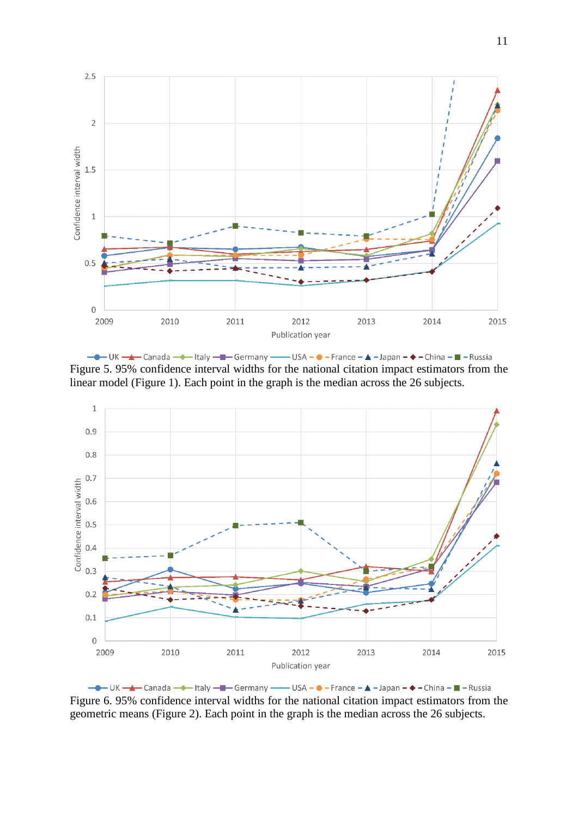

- IK - A Canada - Italy - - Germany - USA - O - France - A - Japan - ◆ - China - I - Russia Figure 5. 95% confidence interval widths for the national citation impact estimators from the linear model (Figure 1). Each point in the graph is the median across the 26 subjects.



- IK - A Canada - Italy - - Germany - USA - O - France - A - Japan - ◆ - China - ■ - Russia Figure 6. 95% confidence interval widths for the national citation impact estimators from the geometric means (Figure 2). Each point in the graph is the median across the 26 subjects.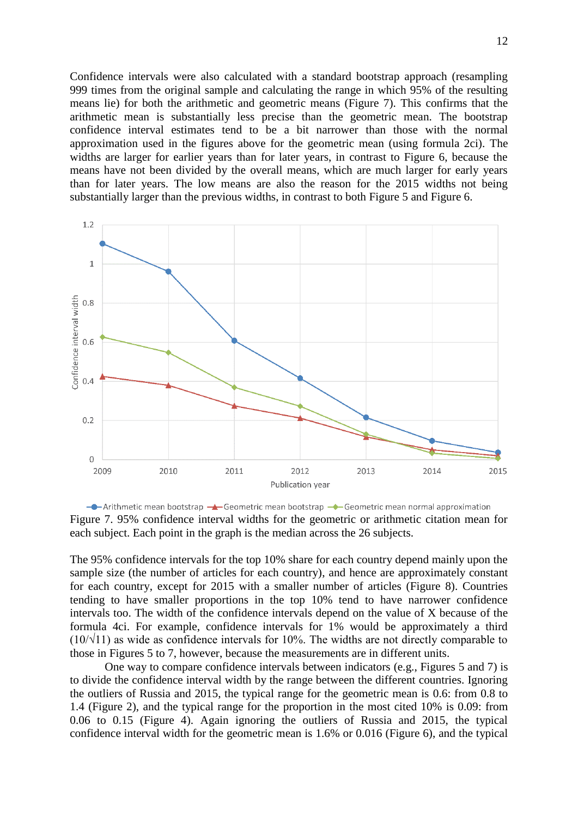Confidence intervals were also calculated with a standard bootstrap approach (resampling 999 times from the original sample and calculating the range in which 95% of the resulting means lie) for both the arithmetic and geometric means (Figure 7). This confirms that the arithmetic mean is substantially less precise than the geometric mean. The bootstrap confidence interval estimates tend to be a bit narrower than those with the normal approximation used in the figures above for the geometric mean (using formula 2ci). The widths are larger for earlier years than for later years, in contrast to Figure 6, because the means have not been divided by the overall means, which are much larger for early years than for later years. The low means are also the reason for the 2015 widths not being substantially larger than the previous widths, in contrast to both Figure 5 and Figure 6.



 $\rightarrow$ -Arithmetic mean bootstrap  $\rightarrow$ -Geometric mean bootstrap  $\rightarrow$ -Geometric mean normal approximation Figure 7. 95% confidence interval widths for the geometric or arithmetic citation mean for each subject. Each point in the graph is the median across the 26 subjects.

The 95% confidence intervals for the top 10% share for each country depend mainly upon the sample size (the number of articles for each country), and hence are approximately constant for each country, except for 2015 with a smaller number of articles (Figure 8). Countries tending to have smaller proportions in the top 10% tend to have narrower confidence intervals too. The width of the confidence intervals depend on the value of X because of the formula 4ci. For example, confidence intervals for 1% would be approximately a third  $(10/\sqrt{11})$  as wide as confidence intervals for 10%. The widths are not directly comparable to those in Figures 5 to 7, however, because the measurements are in different units.

One way to compare confidence intervals between indicators (e.g., Figures 5 and 7) is to divide the confidence interval width by the range between the different countries. Ignoring the outliers of Russia and 2015, the typical range for the geometric mean is 0.6: from 0.8 to 1.4 (Figure 2), and the typical range for the proportion in the most cited 10% is 0.09: from 0.06 to 0.15 (Figure 4). Again ignoring the outliers of Russia and 2015, the typical confidence interval width for the geometric mean is 1.6% or 0.016 (Figure 6), and the typical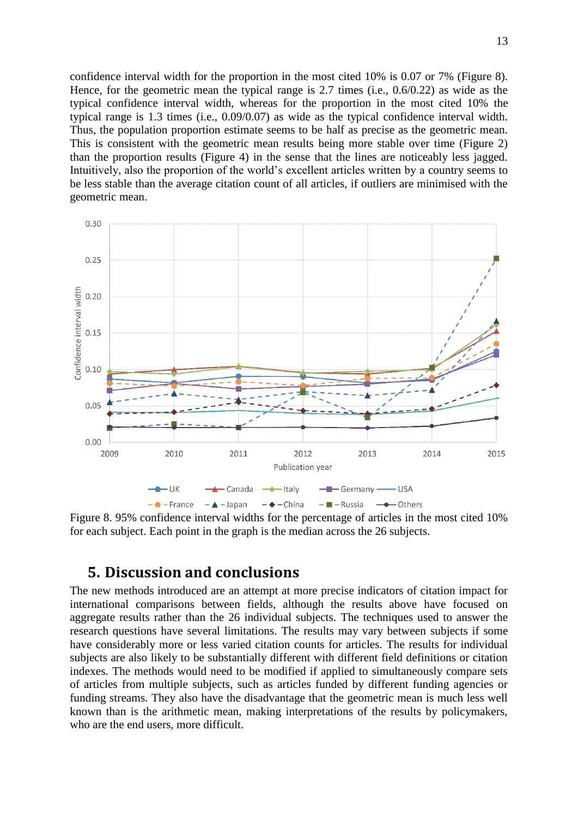confidence interval width for the proportion in the most cited 10% is 0.07 or 7% (Figure 8). Hence, for the geometric mean the typical range is 2.7 times (i.e., 0.6/0.22) as wide as the typical confidence interval width, whereas for the proportion in the most cited 10% the typical range is 1.3 times (i.e., 0.09/0.07) as wide as the typical confidence interval width. Thus, the population proportion estimate seems to be half as precise as the geometric mean. This is consistent with the geometric mean results being more stable over time (Figure 2) than the proportion results (Figure 4) in the sense that the lines are noticeably less jagged. Intuitively, also the proportion of the world's excellent articles written by a country seems to be less stable than the average citation count of all articles, if outliers are minimised with the geometric mean.



Figure 8. 95% confidence interval widths for the percentage of articles in the most cited 10% for each subject. Each point in the graph is the median across the 26 subjects.

## **5. Discussion and conclusions**

The new methods introduced are an attempt at more precise indicators of citation impact for international comparisons between fields, although the results above have focused on aggregate results rather than the 26 individual subjects. The techniques used to answer the research questions have several limitations. The results may vary between subjects if some have considerably more or less varied citation counts for articles. The results for individual subjects are also likely to be substantially different with different field definitions or citation indexes. The methods would need to be modified if applied to simultaneously compare sets of articles from multiple subjects, such as articles funded by different funding agencies or funding streams. They also have the disadvantage that the geometric mean is much less well known than is the arithmetic mean, making interpretations of the results by policymakers, who are the end users, more difficult.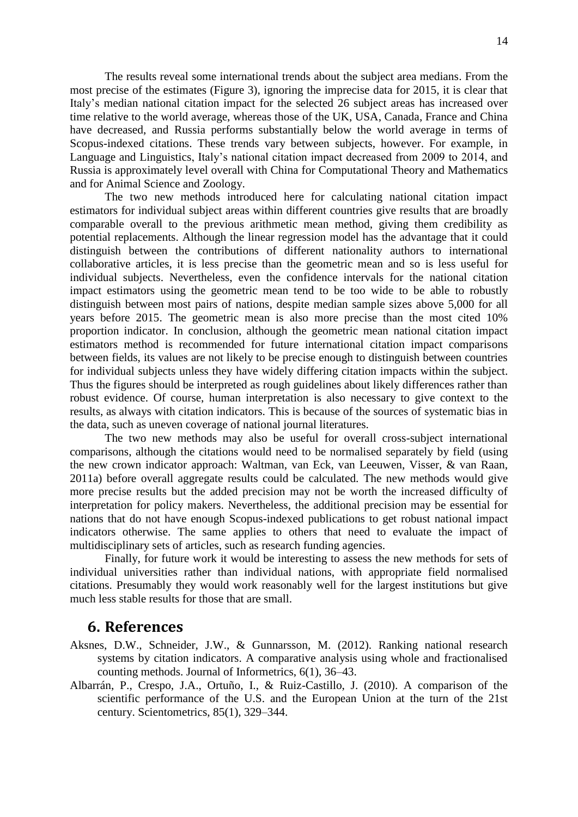The results reveal some international trends about the subject area medians. From the most precise of the estimates (Figure 3), ignoring the imprecise data for 2015, it is clear that Italy's median national citation impact for the selected 26 subject areas has increased over time relative to the world average, whereas those of the UK, USA, Canada, France and China have decreased, and Russia performs substantially below the world average in terms of Scopus-indexed citations. These trends vary between subjects, however. For example, in Language and Linguistics, Italy's national citation impact decreased from 2009 to 2014, and Russia is approximately level overall with China for Computational Theory and Mathematics and for Animal Science and Zoology.

The two new methods introduced here for calculating national citation impact estimators for individual subject areas within different countries give results that are broadly comparable overall to the previous arithmetic mean method, giving them credibility as potential replacements. Although the linear regression model has the advantage that it could distinguish between the contributions of different nationality authors to international collaborative articles, it is less precise than the geometric mean and so is less useful for individual subjects. Nevertheless, even the confidence intervals for the national citation impact estimators using the geometric mean tend to be too wide to be able to robustly distinguish between most pairs of nations, despite median sample sizes above 5,000 for all years before 2015. The geometric mean is also more precise than the most cited 10% proportion indicator. In conclusion, although the geometric mean national citation impact estimators method is recommended for future international citation impact comparisons between fields, its values are not likely to be precise enough to distinguish between countries for individual subjects unless they have widely differing citation impacts within the subject. Thus the figures should be interpreted as rough guidelines about likely differences rather than robust evidence. Of course, human interpretation is also necessary to give context to the results, as always with citation indicators. This is because of the sources of systematic bias in the data, such as uneven coverage of national journal literatures.

The two new methods may also be useful for overall cross-subject international comparisons, although the citations would need to be normalised separately by field (using the new crown indicator approach: Waltman, van Eck, van Leeuwen, Visser, & van Raan, 2011a) before overall aggregate results could be calculated. The new methods would give more precise results but the added precision may not be worth the increased difficulty of interpretation for policy makers. Nevertheless, the additional precision may be essential for nations that do not have enough Scopus-indexed publications to get robust national impact indicators otherwise. The same applies to others that need to evaluate the impact of multidisciplinary sets of articles, such as research funding agencies.

Finally, for future work it would be interesting to assess the new methods for sets of individual universities rather than individual nations, with appropriate field normalised citations. Presumably they would work reasonably well for the largest institutions but give much less stable results for those that are small.

#### **6. References**

- Aksnes, D.W., Schneider, J.W., & Gunnarsson, M. (2012). Ranking national research systems by citation indicators. A comparative analysis using whole and fractionalised counting methods. Journal of Informetrics, 6(1), 36–43.
- Albarrán, P., Crespo, J.A., Ortuño, I., & Ruiz-Castillo, J. (2010). A comparison of the scientific performance of the U.S. and the European Union at the turn of the 21st century. Scientometrics, 85(1), 329–344.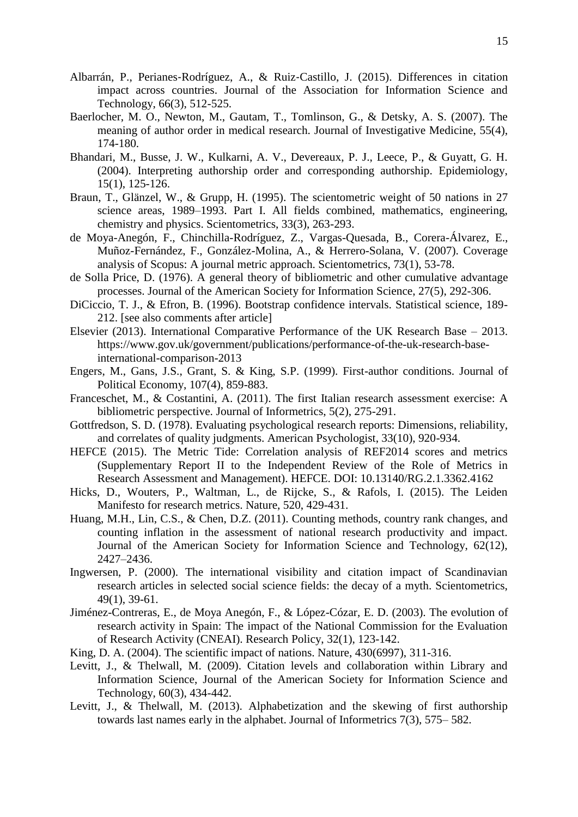- Albarrán, P., Perianes‐Rodríguez, A., & Ruiz‐Castillo, J. (2015). Differences in citation impact across countries. Journal of the Association for Information Science and Technology, 66(3), 512-525.
- Baerlocher, M. O., Newton, M., Gautam, T., Tomlinson, G., & Detsky, A. S. (2007). The meaning of author order in medical research. Journal of Investigative Medicine, 55(4), 174-180.
- Bhandari, M., Busse, J. W., Kulkarni, A. V., Devereaux, P. J., Leece, P., & Guyatt, G. H. (2004). Interpreting authorship order and corresponding authorship. Epidemiology, 15(1), 125-126.
- Braun, T., Glänzel, W., & Grupp, H. (1995). The scientometric weight of 50 nations in 27 science areas, 1989–1993. Part I. All fields combined, mathematics, engineering, chemistry and physics. Scientometrics, 33(3), 263-293.
- de Moya-Anegón, F., Chinchilla-Rodríguez, Z., Vargas-Quesada, B., Corera-Álvarez, E., Muñoz-Fernández, F., González-Molina, A., & Herrero-Solana, V. (2007). Coverage analysis of Scopus: A journal metric approach. Scientometrics, 73(1), 53-78.
- de Solla Price, D. (1976). A general theory of bibliometric and other cumulative advantage processes. Journal of the American Society for Information Science, 27(5), 292-306.
- DiCiccio, T. J., & Efron, B. (1996). Bootstrap confidence intervals. Statistical science, 189- 212. [see also comments after article]
- Elsevier (2013). International Comparative Performance of the UK Research Base 2013. https://www.gov.uk/government/publications/performance-of-the-uk-research-baseinternational-comparison-2013
- Engers, M., Gans, J.S., Grant, S. & King, S.P. (1999). First-author conditions. Journal of Political Economy, 107(4), 859-883.
- Franceschet, M., & Costantini, A. (2011). The first Italian research assessment exercise: A bibliometric perspective. Journal of Informetrics, 5(2), 275-291.
- Gottfredson, S. D. (1978). Evaluating psychological research reports: Dimensions, reliability, and correlates of quality judgments. American Psychologist, 33(10), 920-934.
- HEFCE (2015). The Metric Tide: Correlation analysis of REF2014 scores and metrics (Supplementary Report II to the Independent Review of the Role of Metrics in Research Assessment and Management). HEFCE. DOI: 10.13140/RG.2.1.3362.4162
- Hicks, D., Wouters, P., Waltman, L., de Rijcke, S., & Rafols, I. (2015). The Leiden Manifesto for research metrics. Nature, 520, 429-431.
- Huang, M.H., Lin, C.S., & Chen, D.Z. (2011). Counting methods, country rank changes, and counting inflation in the assessment of national research productivity and impact. Journal of the American Society for Information Science and Technology, 62(12), 2427–2436.
- Ingwersen, P. (2000). The international visibility and citation impact of Scandinavian research articles in selected social science fields: the decay of a myth. Scientometrics, 49(1), 39-61.
- Jiménez-Contreras, E., de Moya Anegón, F., & López-Cózar, E. D. (2003). The evolution of research activity in Spain: The impact of the National Commission for the Evaluation of Research Activity (CNEAI). Research Policy, 32(1), 123-142.
- King, D. A. (2004). The scientific impact of nations. Nature, 430(6997), 311-316.
- Levitt, J., & Thelwall, M. (2009). Citation levels and collaboration within Library and Information Science, Journal of the American Society for Information Science and Technology, 60(3), 434-442.
- Levitt, J., & Thelwall, M. (2013). Alphabetization and the skewing of first authorship towards last names early in the alphabet. Journal of Informetrics 7(3), 575– 582.